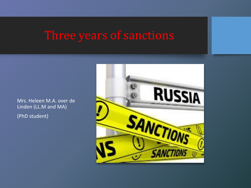## Three years of sanctions

Mrs. Heleen M.A. over de Linden (LL.M and MA) (PhD student)

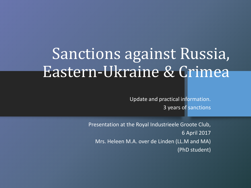# Sanctions against Russia, Eastern-Ukraine & Crimea

Update and practical information. 3 years of sanctions

Presentation at the Royal Industrieele Groote Club, 6 April 2017 Mrs. Heleen M.A. over de Linden (LL.M and MA) (PhD student)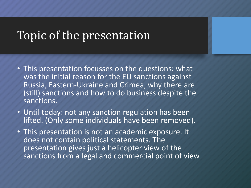#### Topic of the presentation

- This presentation focusses on the questions: what was the initial reason for the EU sanctions against Russia, Eastern-Ukraine and Crimea, why there are (still) sanctions and how to do business despite the sanctions.
- Until today: not any sanction regulation has been lifted. (Only some individuals have been removed).
- This presentation is not an academic exposure. It does not contain political statements. The presentation gives just a helicopter view of the sanctions from a legal and commercial point of view.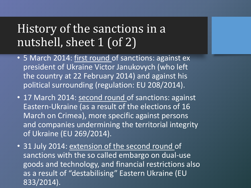# History of the sanctions in a nutshell, sheet 1 (of 2)

- 5 March 2014: first round of sanctions: against ex president of Ukraine Victor Janukovych (who left the country at 22 February 2014) and against his political surrounding (regulation: EU 208/2014).
- 17 March 2014: second round of sanctions: against Eastern-Ukraine (as a result of the elections of 16 March on Crimea), more specific against persons and companies undermining the territorial integrity of Ukraine (EU 269/2014).
- 31 July 2014: extension of the second round of sanctions with the so called embargo on dual-use goods and technology, and financial restrictions also as a result of "destabilising" Eastern Ukraine (EU 833/2014).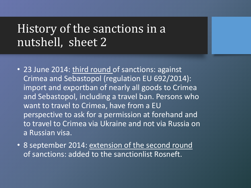### History of the sanctions in a nutshell, sheet 2

- 23 June 2014: third round of sanctions: against Crimea and Sebastopol (regulation EU 692/2014): import and exportban of nearly all goods to Crimea and Sebastopol, including a travel ban. Persons who want to travel to Crimea, have from a EU perspective to ask for a permission at forehand and to travel to Crimea via Ukraine and not via Russia on a Russian visa.
- 8 september 2014: extension of the second round of sanctions: added to the sanctionlist Rosneft.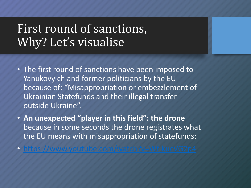## First round of sanctions, Why? Let's visualise

- The first round of sanctions have been imposed to Yanukovyich and former politicians by the EU because of: "Misappropriation or embezzlement of Ukrainian Statefunds and their illegal transfer outside Ukraine".
- **An unexpected "player in this field": the drone** because in some seconds the drone registrates what the EU means with misappropriation of statefunds:
- <https://www.youtube.com/watch?v=Wf-kucVG2p4>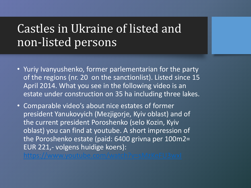# Castles in Ukraine of listed and non-listed persons

- Yuriy Ivanyushenko, former parlementarian for the party of the regions (nr. 20 on the sanctionlist). Listed since 15 April 2014. What you see in the following video is an estate under construction on 35 ha including three lakes.
- Comparable video's about nice estates of former president Yanukovyich (Mezjigorje, Kyiv oblast) and of the current president Poroshenko (selo Kozin, Kyiv oblast) you can find at youtube. A short impression of the Poroshenko estate (paid: 6400 grivna per 100m2= EUR 221,- volgens huidige koers):

<https://www.youtube.com/watch?v=sMzKeFU3wxI>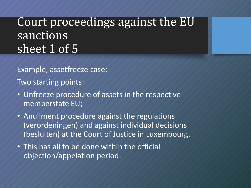# Court proceedings against the EU **sanctions** sheet 1 of 5

Example, assetfreeze case:

Two starting points:

- Unfreeze procedure of assets in the respective memberstate EU;
- Anullment procedure against the regulations (verordeningen) and against individual decisions (besluiten) at the Court of Justice in Luxembourg.
- This has all to be done within the official objection/appelation period.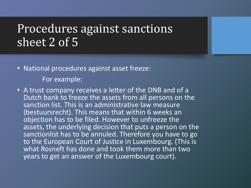## Procedures against sanctions sheet 2 of 5

- National procedures against asset freeze: For example:
- A trust company receives a letter of the DNB and of a Dutch bank to freeze the assets from all persons on the sanction list. This is an administrative law measure (bestuursrecht). This means that within 6 weeks an objection has to be filed. However to unfreeze the assets, the underlying decision that puts a person on the sanctionlist has to be annuled. Therefore you have to go to the European Court of Justice in Luxembourg. (This is what Rosneft has done and took them more than two years to get an answer of the Luxembourg court).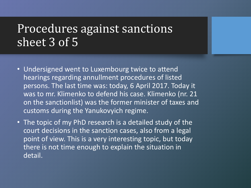#### Procedures against sanctions sheet 3 of 5

- Undersigned went to Luxembourg twice to attend hearings regarding annullment procedures of listed persons. The last time was: today, 6 April 2017. Today it was to mr. Klimenko to defend his case. Klimenko (nr. 21 on the sanctionlist) was the former minister of taxes and customs during the Yanukovyich regime.
- The topic of my PhD research is a detailed study of the court decisions in the sanction cases, also from a legal point of view. This is a very interesting topic, but today there is not time enough to explain the situation in detail.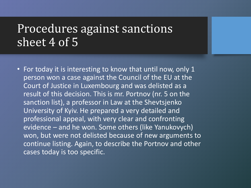#### Procedures against sanctions sheet 4 of 5

• For today it is interesting to know that until now, only 1 person won a case against the Council of the EU at the Court of Justice in Luxembourg and was delisted as a result of this decision. This is mr. Portnov (nr. 5 on the sanction list), a professor in Law at the Shevtsjenko University of Kyiv. He prepared a very detailed and professional appeal, with very clear and confronting evidence – and he won. Some others (like Yanukovych) won, but were not delisted because of new arguments to continue listing. Again, to describe the Portnov and other cases today is too specific.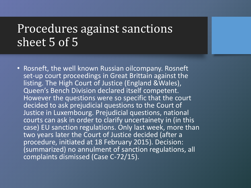#### Procedures against sanctions sheet 5 of 5

• Rosneft, the well known Russian oilcompany. Rosneft set-up court proceedings in Great Brittain against the listing. The High Court of Justice (England &Wales), Queen's Bench Division declared itself competent. However the questions were so specific that the court decided to ask prejudicial questions to the Court of Justice in Luxembourg. Prejudicial questions, national courts can ask in order to clarify uncertainety in (in this case) EU sanction regulations. Only last week, more than two years later the Court of Justice decided (after a procedure, initiated at 18 February 2015). Decision: (summarized) no annulment of sanction regulations, all complaints dismissed (Case C-72/15).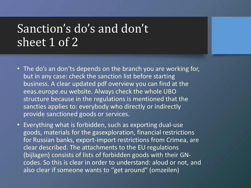## Sanction's do's and don't sheet 1 of 2

- The do's an don'ts depends on the branch you are working for, but in any case: check the sanction list before starting business. A clear updated pdf overview you can find at the eeas.europe.eu website. Always check the whole UBO structure because in the regulations is mentioned that the sancties applies to: everybody who directly or indirectly provide sanctioned goods or services.
- Everything what is forbidden, such as exporting dual-use goods, materials for the gasexploration, financial restrictions for Russian banks, export-import restrictions from Crimea, are clear described. The attachments to the EU regulations (bijlagen) consists of lists of forbidden goods with their GNcodes. So this is clear in order to understand: aloud or not, and also clear if someone wants to ''get around" (omzeilen)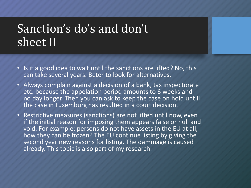## Sanction's do's and don't sheet II

- Is it a good idea to wait until the sanctions are lifted? No, this can take several years. Beter to look for alternatives.
- Always complain against a decision of a bank, tax inspectorate etc. because the appelation period amounts to 6 weeks and no day longer. Then you can ask to keep the case on hold untill the case in Luxemburg has resulted in a court decision.
- Restrictive measures (sanctions) are not lifted until now, even if the initial reason for imposing them appears false or null and void. For example: persons do not have assets in the EU at all, how they can be frozen? The EU continue listing by giving the second year new reasons for listing. The dammage is caused already. This topic is also part of my research.